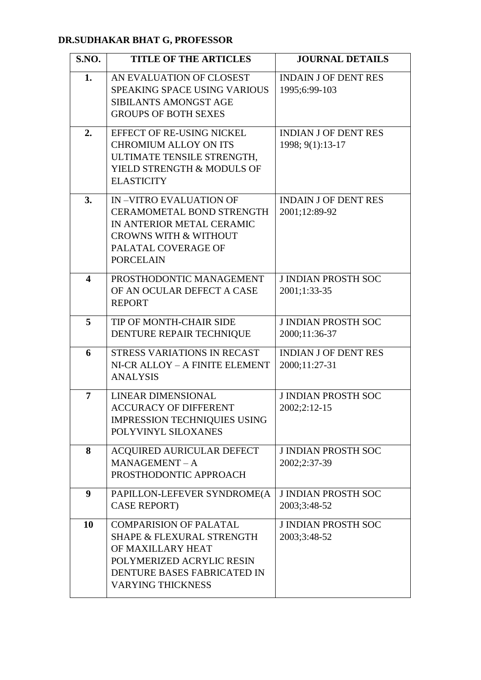## **DR.SUDHAKAR BHAT G, PROFESSOR**

| <b>S.NO.</b>            | <b>TITLE OF THE ARTICLES</b>                                                                                                                                                       | <b>JOURNAL DETAILS</b>                          |
|-------------------------|------------------------------------------------------------------------------------------------------------------------------------------------------------------------------------|-------------------------------------------------|
| 1.                      | AN EVALUATION OF CLOSEST<br><b>SPEAKING SPACE USING VARIOUS</b><br>SIBILANTS AMONGST AGE<br><b>GROUPS OF BOTH SEXES</b>                                                            | <b>INDAIN J OF DENT RES</b><br>1995;6:99-103    |
| 2.                      | EFFECT OF RE-USING NICKEL<br><b>CHROMIUM ALLOY ON ITS</b><br>ULTIMATE TENSILE STRENGTH,<br>YIELD STRENGTH & MODULS OF<br><b>ELASTICITY</b>                                         | <b>INDIAN J OF DENT RES</b><br>1998; 9(1):13-17 |
| 3.                      | <b>IN-VITRO EVALUATION OF</b><br><b>CERAMOMETAL BOND STRENGTH</b><br>IN ANTERIOR METAL CERAMIC<br><b>CROWNS WITH &amp; WITHOUT</b><br>PALATAL COVERAGE OF<br><b>PORCELAIN</b>      | <b>INDAIN J OF DENT RES</b><br>2001;12:89-92    |
| $\overline{\mathbf{4}}$ | PROSTHODONTIC MANAGEMENT<br>OF AN OCULAR DEFECT A CASE<br><b>REPORT</b>                                                                                                            | <b>J INDIAN PROSTH SOC</b><br>2001;1:33-35      |
| 5                       | TIP OF MONTH-CHAIR SIDE<br>DENTURE REPAIR TECHNIQUE                                                                                                                                | <b>J INDIAN PROSTH SOC</b><br>2000;11:36-37     |
| 6                       | STRESS VARIATIONS IN RECAST<br>NI-CR ALLOY - A FINITE ELEMENT<br><b>ANALYSIS</b>                                                                                                   | <b>INDIAN J OF DENT RES</b><br>2000;11:27-31    |
| 7                       | <b>LINEAR DIMENSIONAL</b><br><b>ACCURACY OF DIFFERENT</b><br>IMPRESSION TECHNIQUIES USING<br>POLYVINYL SILOXANES                                                                   | <b>J INDIAN PROSTH SOC</b><br>2002;2:12-15      |
| 8                       | <b>ACQUIRED AURICULAR DEFECT</b><br>$MANAGEMENT - A$<br>PROSTHODONTIC APPROACH                                                                                                     | <b>J INDIAN PROSTH SOC</b><br>2002;2:37-39      |
| 9                       | PAPILLON-LEFEVER SYNDROME(A<br><b>CASE REPORT)</b>                                                                                                                                 | <b>J INDIAN PROSTH SOC</b><br>2003;3:48-52      |
| 10                      | <b>COMPARISION OF PALATAL</b><br><b>SHAPE &amp; FLEXURAL STRENGTH</b><br>OF MAXILLARY HEAT<br>POLYMERIZED ACRYLIC RESIN<br>DENTURE BASES FABRICATED IN<br><b>VARYING THICKNESS</b> | <b>J INDIAN PROSTH SOC</b><br>2003;3:48-52      |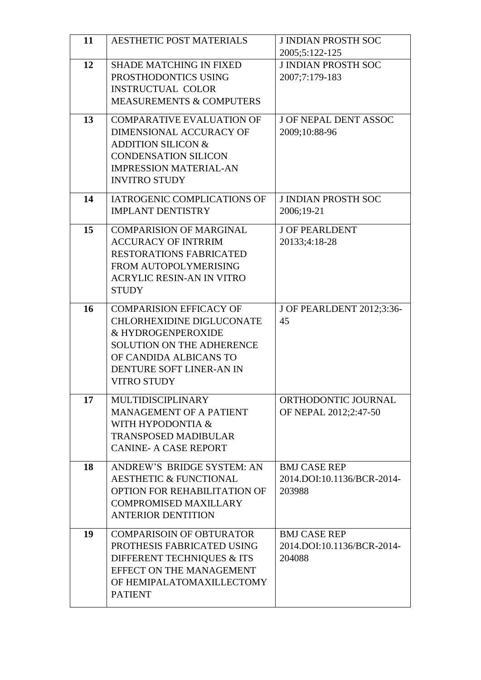| 11 | <b>AESTHETIC POST MATERIALS</b>                                                                                                                                                                   | <b>J INDIAN PROSTH SOC</b><br>2005;5:122-125                |
|----|---------------------------------------------------------------------------------------------------------------------------------------------------------------------------------------------------|-------------------------------------------------------------|
| 12 | <b>SHADE MATCHING IN FIXED</b><br>PROSTHODONTICS USING<br><b>INSTRUCTUAL COLOR</b><br><b>MEASUREMENTS &amp; COMPUTERS</b>                                                                         | <b>J INDIAN PROSTH SOC</b><br>2007;7:179-183                |
| 13 | <b>COMPARATIVE EVALUATION OF</b><br>DIMENSIONAL ACCURACY OF<br><b>ADDITION SILICON &amp;</b><br><b>CONDENSATION SILICON</b><br><b>IMPRESSION MATERIAL-AN</b><br><b>INVITRO STUDY</b>              | <b>J OF NEPAL DENT ASSOC</b><br>2009;10:88-96               |
| 14 | <b>IATROGENIC COMPLICATIONS OF</b><br><b>IMPLANT DENTISTRY</b>                                                                                                                                    | <b>J INDIAN PROSTH SOC</b><br>2006;19-21                    |
| 15 | <b>COMPARISION OF MARGINAL</b><br><b>ACCURACY OF INTRRIM</b><br><b>RESTORATIONS FABRICATED</b><br>FROM AUTOPOLYMERISING<br><b>ACRYLIC RESIN-AN IN VITRO</b><br><b>STUDY</b>                       | <b>J OF PEARLDENT</b><br>20133;4:18-28                      |
| 16 | <b>COMPARISION EFFICACY OF</b><br>CHLORHEXIDINE DIGLUCONATE<br>& HYDROGENPEROXIDE<br><b>SOLUTION ON THE ADHERENCE</b><br>OF CANDIDA ALBICANS TO<br>DENTURE SOFT LINER-AN IN<br><b>VITRO STUDY</b> | J OF PEARLDENT 2012;3:36-<br>45                             |
| 17 | <b>MULTIDISCIPLINARY</b><br><b>MANAGEMENT OF A PATIENT</b><br>WITH HYPODONTIA &<br><b>TRANSPOSED MADIBULAR</b><br><b>CANINE- A CASE REPORT</b>                                                    | ORTHODONTIC JOURNAL<br>OF NEPAL 2012;2:47-50                |
| 18 | ANDREW'S BRIDGE SYSTEM: AN<br><b>AESTHETIC &amp; FUNCTIONAL</b><br>OPTION FOR REHABILITATION OF<br><b>COMPROMISED MAXILLARY</b><br><b>ANTERIOR DENTITION</b>                                      | <b>BMJ CASE REP</b><br>2014.DOI:10.1136/BCR-2014-<br>203988 |
| 19 | <b>COMPARISOIN OF OBTURATOR</b><br>PROTHESIS FABRICATED USING<br>DIFFERENT TECHNIQUES & ITS<br>EFFECT ON THE MANAGEMENT<br>OF HEMIPALATOMAXILLECTOMY<br><b>PATIENT</b>                            | <b>BMJ CASE REP</b><br>2014.DOI:10.1136/BCR-2014-<br>204088 |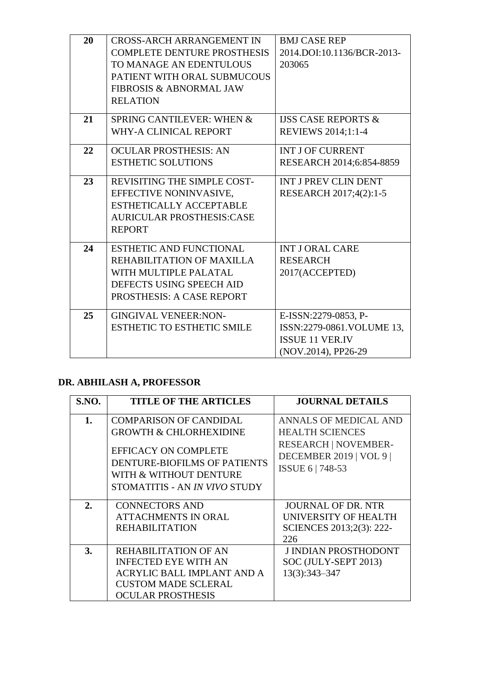| 20 | <b>CROSS-ARCH ARRANGEMENT IN</b><br><b>COMPLETE DENTURE PROSTHESIS</b><br>TO MANAGE AN EDENTULOUS                                             | <b>BMJ CASE REP</b><br>2014.DOI:10.1136/BCR-2013-<br>203065                                        |
|----|-----------------------------------------------------------------------------------------------------------------------------------------------|----------------------------------------------------------------------------------------------------|
|    | PATIENT WITH ORAL SUBMUCOUS<br><b>FIBROSIS &amp; ABNORMAL JAW</b><br><b>RELATION</b>                                                          |                                                                                                    |
| 21 | SPRING CANTILEVER: WHEN &<br>WHY-A CLINICAL REPORT                                                                                            | <b>USS CASE REPORTS &amp;</b><br>REVIEWS 2014;1:1-4                                                |
| 22 | <b>OCULAR PROSTHESIS: AN</b><br><b>ESTHETIC SOLUTIONS</b>                                                                                     | <b>INT J OF CURRENT</b><br>RESEARCH 2014;6:854-8859                                                |
| 23 | REVISITING THE SIMPLE COST-<br>EFFECTIVE NONINVASIVE,<br><b>ESTHETICALLY ACCEPTABLE</b><br><b>AURICULAR PROSTHESIS:CASE</b><br><b>REPORT</b>  | <b>INT J PREV CLIN DENT</b><br>RESEARCH 2017;4(2):1-5                                              |
| 24 | <b>ESTHETIC AND FUNCTIONAL</b><br>REHABILITATION OF MAXILLA<br>WITH MULTIPLE PALATAL<br>DEFECTS USING SPEECH AID<br>PROSTHESIS: A CASE REPORT | <b>INT J ORAL CARE</b><br><b>RESEARCH</b><br>2017(ACCEPTED)                                        |
| 25 | <b>GINGIVAL VENEER:NON-</b><br><b>ESTHETIC TO ESTHETIC SMILE</b>                                                                              | E-ISSN:2279-0853, P-<br>ISSN:2279-0861.VOLUME 13,<br><b>ISSUE 11 VER.IV</b><br>(NOV.2014), PP26-29 |

## **DR. ABHILASH A, PROFESSOR**

| S.NO. | <b>TITLE OF THE ARTICLES</b>                                                                                                                                                                 | <b>JOURNAL DETAILS</b>                                                                                                                      |
|-------|----------------------------------------------------------------------------------------------------------------------------------------------------------------------------------------------|---------------------------------------------------------------------------------------------------------------------------------------------|
| 1.    | <b>COMPARISON OF CANDIDAL</b><br><b>GROWTH &amp; CHLORHEXIDINE</b><br><b>EFFICACY ON COMPLETE</b><br>DENTURE-BIOFILMS OF PATIENTS<br>WITH & WITHOUT DENTURE<br>STOMATITIS - AN IN VIVO STUDY | <b>ANNALS OF MEDICAL AND</b><br><b>HEALTH SCIENCES</b><br><b>RESEARCH   NOVEMBER-</b><br><b>DECEMBER 2019   VOL 9  </b><br>ISSUE 6   748-53 |
| 2.    | <b>CONNECTORS AND</b><br><b>ATTACHMENTS IN ORAL</b><br><b>REHABILITATION</b>                                                                                                                 | <b>JOURNAL OF DR. NTR</b><br>UNIVERSITY OF HEALTH<br>SCIENCES 2013;2(3): 222-<br>226                                                        |
| 3.    | <b>REHABILITATION OF AN</b><br><b>INFECTED EYE WITH AN</b><br>ACRYLIC BALL IMPLANT AND A<br><b>CUSTOM MADE SCLERAL</b><br><b>OCULAR PROSTHESIS</b>                                           | <b>J INDIAN PROSTHODONT</b><br>SOC (JULY-SEPT 2013)<br>13(3):343-347                                                                        |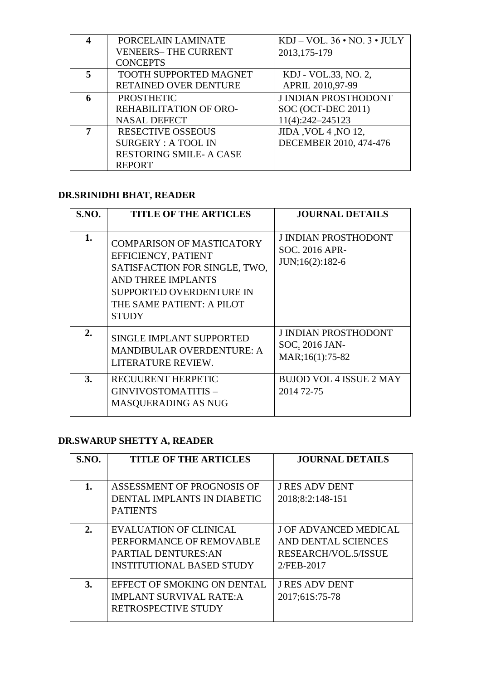|   | PORCELAIN LAMINATE             | $KDJ - VOL. 36 \cdot NO. 3 \cdot JULY$ |
|---|--------------------------------|----------------------------------------|
|   | <b>VENEERS-THE CURRENT</b>     | 2013, 175-179                          |
|   | <b>CONCEPTS</b>                |                                        |
| 5 | TOOTH SUPPORTED MAGNET         | KDJ - VOL.33, NO. 2,                   |
|   | RETAINED OVER DENTURE          | APRIL 2010,97-99                       |
| 6 | <b>PROSTHETIC</b>              | <b>J INDIAN PROSTHODONT</b>            |
|   | REHABILITATION OF ORO-         | SOC (OCT-DEC 2011)                     |
|   | <b>NASAL DEFECT</b>            | 11(4):242-245123                       |
|   | <b>RESECTIVE OSSEOUS</b>       | JIDA, VOL 4, NO 12,                    |
|   | <b>SURGERY: A TOOL IN</b>      | DECEMBER 2010, 474-476                 |
|   | <b>RESTORING SMILE- A CASE</b> |                                        |
|   | <b>REPORT</b>                  |                                        |

## **DR.SRINIDHI BHAT, READER**

| S.NO. | <b>TITLE OF THE ARTICLES</b>                                                                                                                                                                   | <b>JOURNAL DETAILS</b>                                                  |
|-------|------------------------------------------------------------------------------------------------------------------------------------------------------------------------------------------------|-------------------------------------------------------------------------|
| 1.    | <b>COMPARISON OF MASTICATORY</b><br>EFFICIENCY, PATIENT<br>SATISFACTION FOR SINGLE, TWO,<br>AND THREE IMPLANTS<br><b>SUPPORTED OVERDENTURE IN</b><br>THE SAME PATIENT: A PILOT<br><b>STUDY</b> | <b>J INDIAN PROSTHODONT</b><br><b>SOC. 2016 APR-</b><br>JUN;16(2):182-6 |
| 2.    | <b>SINGLE IMPLANT SUPPORTED</b><br><b>MANDIBULAR OVERDENTURE: A</b><br>LITERATURE REVIEW.                                                                                                      | <b>J INDIAN PROSTHODONT</b><br>SOC. 2016 JAN-<br>MAR;16(1):75-82        |
| 3.    | <b>RECUURENT HERPETIC</b><br>GINVIVOSTOMATITIS-<br><b>MASQUERADING AS NUG</b>                                                                                                                  | <b>BUJOD VOL 4 ISSUE 2 MAY</b><br>2014 72-75                            |

# **DR.SWARUP SHETTY A, READER**

| <b>S.NO.</b> | <b>TITLE OF THE ARTICLES</b>     | <b>JOURNAL DETAILS</b>       |
|--------------|----------------------------------|------------------------------|
|              |                                  |                              |
| 1.           | ASSESSMENT OF PROGNOSIS OF       | <b>J RES ADV DENT</b>        |
|              | DENTAL IMPLANTS IN DIABETIC      | 2018;8:2:148-151             |
|              | <b>PATIENTS</b>                  |                              |
| 2.           | <b>EVALUATION OF CLINICAL</b>    | <b>J OF ADVANCED MEDICAL</b> |
|              | PERFORMANCE OF REMOVABLE         | AND DENTAL SCIENCES          |
|              | <b>PARTIAL DENTURES:AN</b>       | RESEARCH/VOL.5/ISSUE         |
|              | <b>INSTITUTIONAL BASED STUDY</b> | 2/FEB-2017                   |
| 3.           | EFFECT OF SMOKING ON DENTAL      | <b>J RES ADV DENT</b>        |
|              | <b>IMPLANT SURVIVAL RATE:A</b>   |                              |
|              |                                  | 2017;61S:75-78               |
|              | RETROSPECTIVE STUDY              |                              |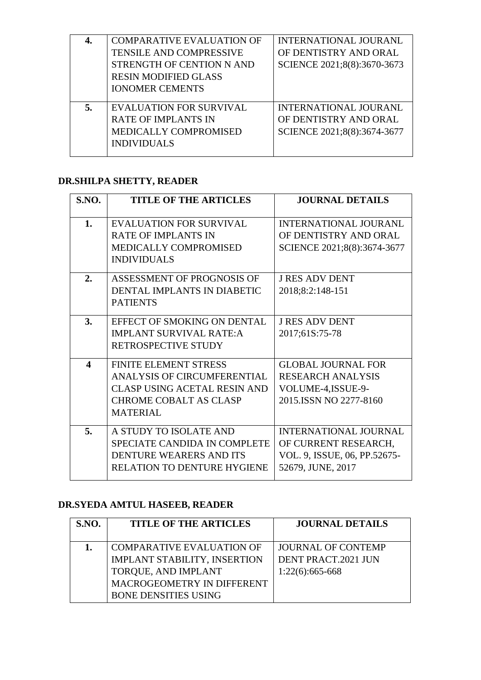|    | <b>COMPARATIVE EVALUATION OF</b> | INTERNATIONAL JOURANL        |
|----|----------------------------------|------------------------------|
|    | <b>TENSILE AND COMPRESSIVE</b>   | OF DENTISTRY AND ORAL        |
|    | STRENGTH OF CENTION N AND        | SCIENCE 2021;8(8):3670-3673  |
|    | <b>RESIN MODIFIED GLASS</b>      |                              |
|    | <b>IONOMER CEMENTS</b>           |                              |
|    |                                  |                              |
| 5. | <b>EVALUATION FOR SURVIVAL</b>   | <b>INTERNATIONAL JOURANL</b> |
|    | <b>RATE OF IMPLANTS IN</b>       | OF DENTISTRY AND ORAL        |
|    | MEDICALLY COMPROMISED            | SCIENCE 2021;8(8):3674-3677  |
|    | <b>INDIVIDUALS</b>               |                              |
|    |                                  |                              |

## **DR.SHILPA SHETTY, READER**

| <b>S.NO.</b>            | <b>TITLE OF THE ARTICLES</b>        | <b>JOURNAL DETAILS</b>       |
|-------------------------|-------------------------------------|------------------------------|
|                         |                                     |                              |
| 1.                      | <b>EVALUATION FOR SURVIVAL</b>      | INTERNATIONAL JOURANL        |
|                         | <b>RATE OF IMPLANTS IN</b>          | OF DENTISTRY AND ORAL        |
|                         | MEDICALLY COMPROMISED               | SCIENCE 2021;8(8):3674-3677  |
|                         | <b>INDIVIDUALS</b>                  |                              |
| 2.                      | ASSESSMENT OF PROGNOSIS OF          | <b>J RES ADV DENT</b>        |
|                         | DENTAL IMPLANTS IN DIABETIC         | 2018;8:2:148-151             |
|                         | <b>PATIENTS</b>                     |                              |
| 3.                      | EFFECT OF SMOKING ON DENTAL         | <b>J RES ADV DENT</b>        |
|                         | <b>IMPLANT SURVIVAL RATE:A</b>      | 2017;61S:75-78               |
|                         | RETROSPECTIVE STUDY                 |                              |
|                         |                                     |                              |
| $\overline{\mathbf{4}}$ | <b>FINITE ELEMENT STRESS</b>        | <b>GLOBAL JOURNAL FOR</b>    |
|                         | ANALYSIS OF CIRCUMFERENTIAL         | <b>RESEARCH ANALYSIS</b>     |
|                         | <b>CLASP USING ACETAL RESIN AND</b> | VOLUME-4, ISSUE-9-           |
|                         | <b>CHROME COBALT AS CLASP</b>       | 2015. ISSN NO 2277-8160      |
|                         | <b>MATERIAL</b>                     |                              |
| 5.                      | A STUDY TO ISOLATE AND              | <b>INTERNATIONAL JOURNAL</b> |
|                         | SPECIATE CANDIDA IN COMPLETE        | OF CURRENT RESEARCH,         |
|                         | DENTURE WEARERS AND ITS             | VOL. 9, ISSUE, 06, PP.52675- |
|                         | <b>RELATION TO DENTURE HYGIENE</b>  | 52679, JUNE, 2017            |
|                         |                                     |                              |

## **DR.SYEDA AMTUL HASEEB, READER**

| <b>S.NO.</b> | <b>TITLE OF THE ARTICLES</b>                                                                                                                                | <b>JOURNAL DETAILS</b>                                                |
|--------------|-------------------------------------------------------------------------------------------------------------------------------------------------------------|-----------------------------------------------------------------------|
|              | <b>COMPARATIVE EVALUATION OF</b><br><b>IMPLANT STABILITY, INSERTION</b><br>TORQUE, AND IMPLANT<br>MACROGEOMETRY IN DIFFERENT<br><b>BONE DENSITIES USING</b> | <b>JOURNAL OF CONTEMP</b><br>DENT PRACT.2021 JUN<br>$1:22(6):665-668$ |